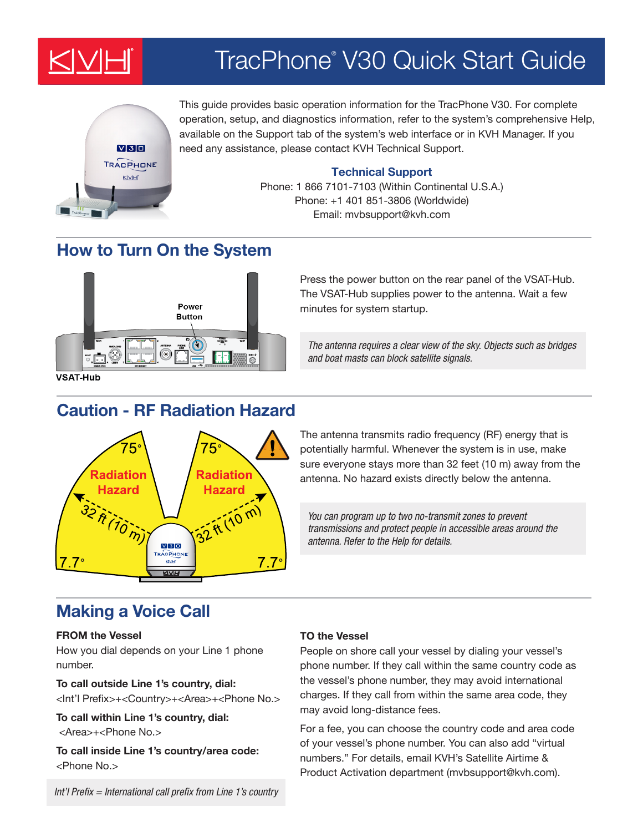

# TracPhone® V30 Quick Start Guide



This guide provides basic operation information for the TracPhone V30. For complete operation, setup, and diagnostics information, refer to the system's comprehensive Help, available on the Support tab of the system's web interface or in KVH Manager. If you need any assistance, please contact KVH Technical Support.

## **Technical Support**

Phone: 1 866 7101-7103 (Within Continental U.S.A.) Phone: +1 401 851-3806 (Worldwide) Email: mvbsupport@kvh.com

# **How to Turn On the System**



Press the power button on the rear panel of the VSAT-Hub. The VSAT-Hub supplies power to the antenna. Wait a few minutes for system startup.

*The antenna requires a clear view of the sky. Objects such as bridges and boat masts can block satellite signals.*

**VSAT-Hub** 

# **Caution - RF Radiation Hazard**



The antenna transmits radio frequency (RF) energy that is potentially harmful. Whenever the system is in use, make sure everyone stays more than 32 feet (10 m) away from the antenna. No hazard exists directly below the antenna.

You can program up to two no-transmit zones to prevent transmissions and protect people in accessible areas around the antenna. Refer to the Help for details.

## **Making a Voice Call**

### **FROM the Vessel**

How you dial depends on your Line 1 phone number.

## **To call outside Line 1's country, dial:**

<Int'l Prefix>+<Country>+<Area>+<Phone No.>

**To call within Line 1's country, dial:** <Area>+<Phone No.>

**To call inside Line 1's country/area code:** <Phone No.>

### **TO the Vessel**

People on shore call your vessel by dialing your vessel's phone number. If they call within the same country code as the vessel's phone number, they may avoid international charges. If they call from within the same area code, they may avoid long-distance fees.

For a fee, you can choose the country code and area code of your vessel's phone number. You can also add "virtual numbers." For details, email KVH's Satellite Airtime & Product Activation department (mvbsupport@kvh.com).